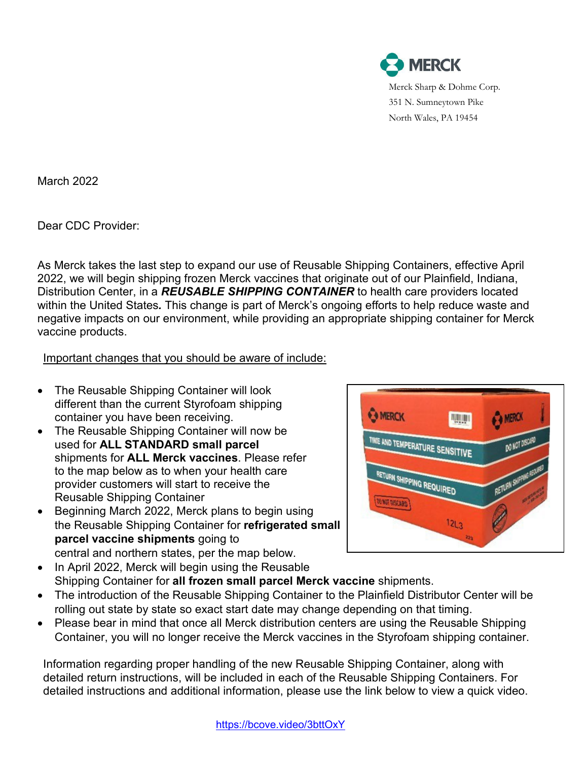

March 2022

Dear CDC Provider:

As Merck takes the last step to expand our use of Reusable Shipping Containers, effective April 2022, we will begin shipping frozen Merck vaccines that originate out of our Plainfield, Indiana, Distribution Center, in a *REUSABLE SHIPPING CONTAINER* to health care providers located within the United States*.* This change is part of Merck's ongoing efforts to help reduce waste and negative impacts on our environment, while providing an appropriate shipping container for Merck vaccine products.

Important changes that you should be aware of include:

- The Reusable Shipping Container will look different than the current Styrofoam shipping container you have been receiving.
- The Reusable Shipping Container will now be used for **ALL STANDARD small parcel** shipments for **ALL Merck vaccines**. Please refer to the map below as to when your health care provider customers will start to receive the Reusable Shipping Container
- Beginning March 2022, Merck plans to begin using the Reusable Shipping Container for **refrigerated small parcel vaccine shipments** going to central and northern states, per the map below.



- In April 2022, Merck will begin using the Reusable Shipping Container for **all frozen small parcel Merck vaccine** shipments.
- The introduction of the Reusable Shipping Container to the Plainfield Distributor Center will be rolling out state by state so exact start date may change depending on that timing.
- Please bear in mind that once all Merck distribution centers are using the Reusable Shipping Container, you will no longer receive the Merck vaccines in the Styrofoam shipping container.

Information regarding proper handling of the new Reusable Shipping Container, along with detailed return instructions, will be included in each of the Reusable Shipping Containers. For detailed instructions and additional information, please use the link below to view a quick video.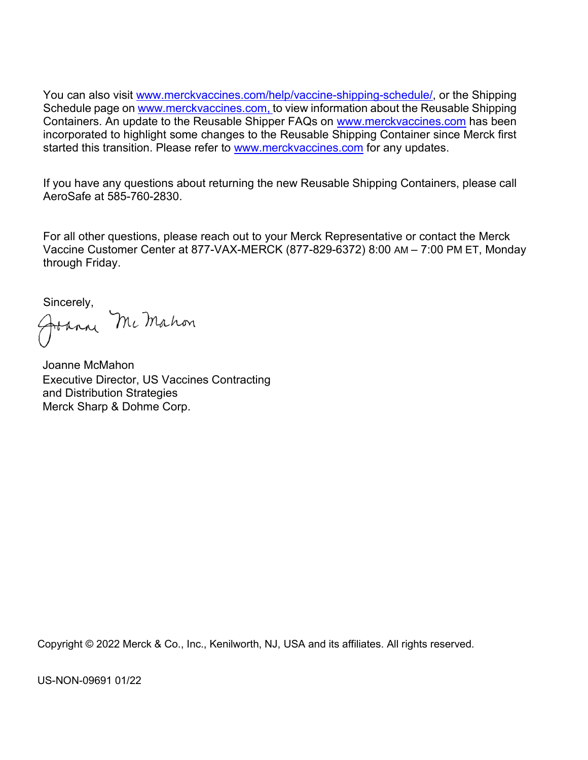You can also visit [www.merckvaccines.com/help/vaccine-shipping-schedule/,](http://www.merckvaccines.com/help/vaccine-shipping-schedule/) or the Shipping Schedule page on www.merckvaccines.com, to view information about the Reusable Shipping Containers. An update to the Reusable Shipper FAQs on [www.merckvaccines.com](http://www.merckvaccines.com/) has been incorporated to highlight some changes to the Reusable Shipping Container since Merck first started this transition. Please refer to [www.merckvaccines.com](http://www.merckvaccines.com/) for any updates.

If you have any questions about returning the new Reusable Shipping Containers, please call AeroSafe at 585-760-2830.

For all other questions, please reach out to your Merck Representative or contact the Merck Vaccine Customer Center at 877-VAX-MERCK (877-829-6372) 8:00 AM – 7:00 PM ET, Monday through Friday.

Sincerely,<br>Johnny McMahon

Joanne McMahon Executive Director, US Vaccines Contracting and Distribution Strategies Merck Sharp & Dohme Corp.

Copyright © 2022 Merck & Co., Inc., Kenilworth, NJ, USA and its affiliates. All rights reserved.

US-NON-09691 01/22